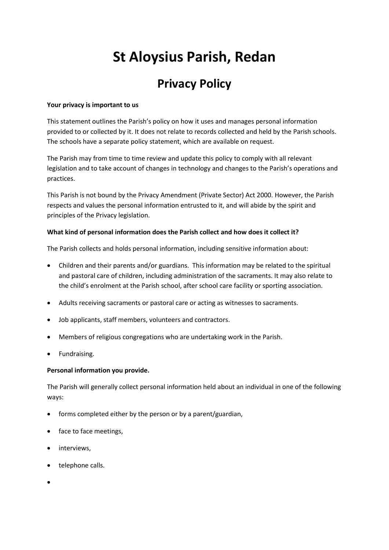# **St Aloysius Parish, Redan**

## **Privacy Policy**

#### **Your privacy is important to us**

This statement outlines the Parish's policy on how it uses and manages personal information provided to or collected by it. It does not relate to records collected and held by the Parish schools. The schools have a separate policy statement, which are available on request.

The Parish may from time to time review and update this policy to comply with all relevant legislation and to take account of changes in technology and changes to the Parish's operations and practices.

This Parish is not bound by the Privacy Amendment (Private Sector) Act 2000. However, the Parish respects and values the personal information entrusted to it, and will abide by the spirit and principles of the Privacy legislation.

#### **What kind of personal information does the Parish collect and how does it collect it?**

The Parish collects and holds personal information, including sensitive information about:

- Children and their parents and/or guardians. This information may be related to the spiritual and pastoral care of children, including administration of the sacraments. It may also relate to the child's enrolment at the Parish school, after school care facility or sporting association.
- Adults receiving sacraments or pastoral care or acting as witnesses to sacraments.
- Job applicants, staff members, volunteers and contractors.
- Members of religious congregations who are undertaking work in the Parish.
- Fundraising.

#### **Personal information you provide.**

The Parish will generally collect personal information held about an individual in one of the following ways:

- forms completed either by the person or by a parent/guardian,
- face to face meetings,
- interviews,
- telephone calls.
- $\bullet$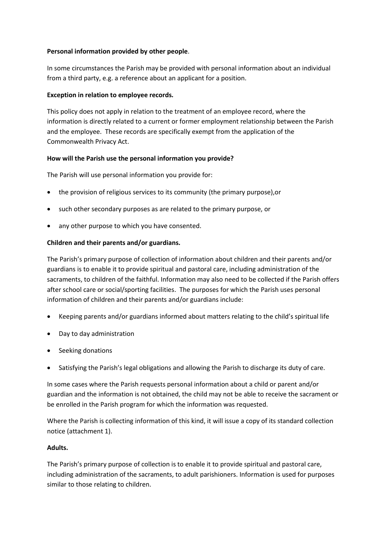#### **Personal information provided by other people**.

In some circumstances the Parish may be provided with personal information about an individual from a third party, e.g. a reference about an applicant for a position.

#### **Exception in relation to employee records***.*

This policy does not apply in relation to the treatment of an employee record, where the information is directly related to a current or former employment relationship between the Parish and the employee. These records are specifically exempt from the application of the Commonwealth Privacy Act.

#### **How will the Parish use the personal information you provide?**

The Parish will use personal information you provide for:

- the provision of religious services to its community (the primary purpose),or
- such other secondary purposes as are related to the primary purpose, or
- any other purpose to which you have consented.

#### **Children and their parents and/or guardians.**

The Parish's primary purpose of collection of information about children and their parents and/or guardians is to enable it to provide spiritual and pastoral care, including administration of the sacraments, to children of the faithful. Information may also need to be collected if the Parish offers after school care or social/sporting facilities. The purposes for which the Parish uses personal information of children and their parents and/or guardians include:

- Keeping parents and/or guardians informed about matters relating to the child's spiritual life
- Day to day administration
- Seeking donations
- Satisfying the Parish's legal obligations and allowing the Parish to discharge its duty of care.

In some cases where the Parish requests personal information about a child or parent and/or guardian and the information is not obtained, the child may not be able to receive the sacrament or be enrolled in the Parish program for which the information was requested.

Where the Parish is collecting information of this kind, it will issue a copy of its standard collection notice (attachment 1).

#### **Adults.**

The Parish's primary purpose of collection is to enable it to provide spiritual and pastoral care, including administration of the sacraments, to adult parishioners. Information is used for purposes similar to those relating to children.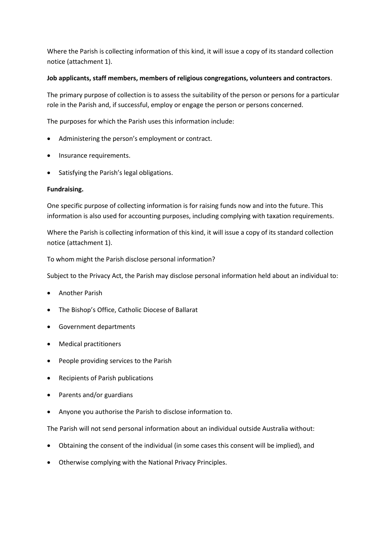Where the Parish is collecting information of this kind, it will issue a copy of its standard collection notice (attachment 1).

#### **Job applicants, staff members, members of religious congregations, volunteers and contractors**.

The primary purpose of collection is to assess the suitability of the person or persons for a particular role in the Parish and, if successful, employ or engage the person or persons concerned.

The purposes for which the Parish uses this information include:

- Administering the person's employment or contract.
- Insurance requirements.
- Satisfying the Parish's legal obligations.

#### **Fundraising.**

One specific purpose of collecting information is for raising funds now and into the future. This information is also used for accounting purposes, including complying with taxation requirements.

Where the Parish is collecting information of this kind, it will issue a copy of its standard collection notice (attachment 1).

To whom might the Parish disclose personal information?

Subject to the Privacy Act, the Parish may disclose personal information held about an individual to:

- Another Parish
- The Bishop's Office, Catholic Diocese of Ballarat
- Government departments
- Medical practitioners
- People providing services to the Parish
- Recipients of Parish publications
- Parents and/or guardians
- Anyone you authorise the Parish to disclose information to.

The Parish will not send personal information about an individual outside Australia without:

- Obtaining the consent of the individual (in some cases this consent will be implied), and
- Otherwise complying with the National Privacy Principles.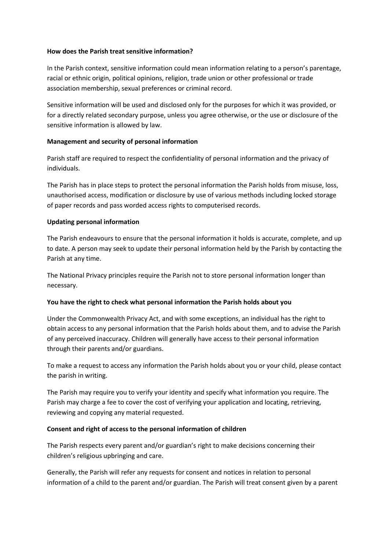#### **How does the Parish treat sensitive information?**

In the Parish context, sensitive information could mean information relating to a person's parentage, racial or ethnic origin, political opinions, religion, trade union or other professional or trade association membership, sexual preferences or criminal record.

Sensitive information will be used and disclosed only for the purposes for which it was provided, or for a directly related secondary purpose, unless you agree otherwise, or the use or disclosure of the sensitive information is allowed by law.

#### **Management and security of personal information**

Parish staff are required to respect the confidentiality of personal information and the privacy of individuals.

The Parish has in place steps to protect the personal information the Parish holds from misuse, loss, unauthorised access, modification or disclosure by use of various methods including locked storage of paper records and pass worded access rights to computerised records.

#### **Updating personal information**

The Parish endeavours to ensure that the personal information it holds is accurate, complete, and up to date. A person may seek to update their personal information held by the Parish by contacting the Parish at any time.

The National Privacy principles require the Parish not to store personal information longer than necessary.

#### **You have the right to check what personal information the Parish holds about you**

Under the Commonwealth Privacy Act, and with some exceptions, an individual has the right to obtain access to any personal information that the Parish holds about them, and to advise the Parish of any perceived inaccuracy. Children will generally have access to their personal information through their parents and/or guardians.

To make a request to access any information the Parish holds about you or your child, please contact the parish in writing.

The Parish may require you to verify your identity and specify what information you require. The Parish may charge a fee to cover the cost of verifying your application and locating, retrieving, reviewing and copying any material requested.

#### **Consent and right of access to the personal information of children**

The Parish respects every parent and/or guardian's right to make decisions concerning their children's religious upbringing and care.

Generally, the Parish will refer any requests for consent and notices in relation to personal information of a child to the parent and/or guardian. The Parish will treat consent given by a parent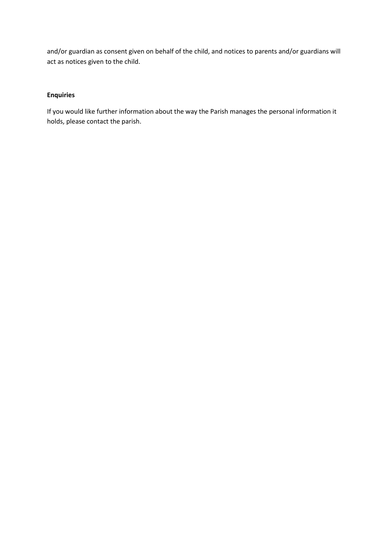and/or guardian as consent given on behalf of the child, and notices to parents and/or guardians will act as notices given to the child.

### **Enquiries**

If you would like further information about the way the Parish manages the personal information it holds, please contact the parish.